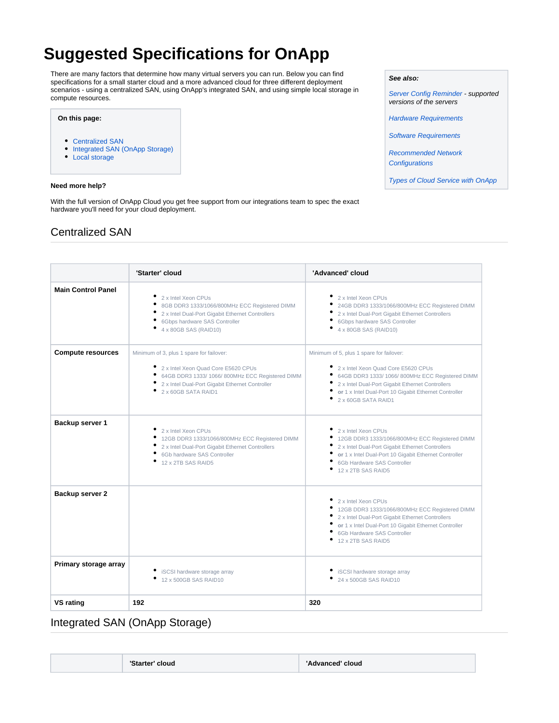# **Suggested Specifications for OnApp**

There are many factors that determine how many virtual servers you can run. Below you can find specifications for a small starter cloud and a more advanced cloud for three different deployment scenarios - using a centralized SAN, using OnApp's integrated SAN, and using simple local storage in compute resources.

### **On this page:**

- [Centralized SAN](#page-0-0)
- [Integrated SAN \(OnApp Storage\)](#page-0-1)
- [Local storage](#page-1-0)

### **Need more help?**

With the full version of OnApp Cloud you get free support from our integrations team to spec the exact hardware you'll need for your cloud deployment.

### <span id="page-0-0"></span>Centralized SAN

|                           | 'Starter' cloud                                                                                                                                                                                             | 'Advanced' cloud                                                                                                                                                                                                                                                      |
|---------------------------|-------------------------------------------------------------------------------------------------------------------------------------------------------------------------------------------------------------|-----------------------------------------------------------------------------------------------------------------------------------------------------------------------------------------------------------------------------------------------------------------------|
| <b>Main Control Panel</b> | 2 x Intel Xeon CPUs<br>8GB DDR3 1333/1066/800MHz ECC Registered DIMM<br>2 x Intel Dual-Port Gigabit Ethernet Controllers<br>6Gbps hardware SAS Controller<br>4 x 80GB SAS (RAID10)                          | 2 x Intel Xeon CPUs<br>24GB DDR3 1333/1066/800MHz ECC Registered DIMM<br>2 x Intel Dual-Port Gigabit Ethernet Controllers<br>6Gbps hardware SAS Controller<br>4 x 80GB SAS (RAID10)                                                                                   |
| <b>Compute resources</b>  | Minimum of 3, plus 1 spare for failover:<br>2 x Intel Xeon Quad Core E5620 CPUs<br>64GB DDR3 1333/1066/800MHz ECC Registered DIMM<br>2 x Intel Dual-Port Gigabit Ethernet Controller<br>2 x 60GB SATA RAID1 | Minimum of 5, plus 1 spare for failover:<br>2 x Intel Xeon Quad Core E5620 CPUs<br>64GB DDR3 1333/1066/800MHz ECC Registered DIMM<br>2 x Intel Dual-Port Gigabit Ethernet Controllers<br>or 1 x Intel Dual-Port 10 Gigabit Ethernet Controller<br>2 x 60GB SATA RAID1 |
| Backup server 1           | 2 x Intel Xeon CPUs<br>12GB DDR3 1333/1066/800MHz ECC Registered DIMM<br>2 x Intel Dual-Port Gigabit Ethernet Controllers<br>6Gb hardware SAS Controller<br>12 x 2TB SAS RAID5                              | 2 x Intel Xeon CPUs<br>12GB DDR3 1333/1066/800MHz ECC Registered DIMM<br>2 x Intel Dual-Port Gigabit Ethernet Controllers<br>or 1 x Intel Dual-Port 10 Gigabit Ethernet Controller<br>6Gb Hardware SAS Controller<br>12 x 2TB SAS RAID5                               |
| Backup server 2           |                                                                                                                                                                                                             | 2 x Intel Xeon CPUs<br>12GB DDR3 1333/1066/800MHz ECC Registered DIMM<br>2 x Intel Dual-Port Gigabit Ethernet Controllers<br>or 1 x Intel Dual-Port 10 Gigabit Ethernet Controller<br>6Gb Hardware SAS Controller<br>12 x 2TB SAS RAID5                               |
| Primary storage array     | iSCSI hardware storage array<br>12 x 500GB SAS RAID10                                                                                                                                                       | iSCSI hardware storage array<br>24 x 500GB SAS RAID10                                                                                                                                                                                                                 |
| <b>VS rating</b>          | 192                                                                                                                                                                                                         | 320                                                                                                                                                                                                                                                                   |

### <span id="page-0-1"></span>Integrated SAN (OnApp Storage)

| 'Starter' cloud | 'Advanced' cloud |
|-----------------|------------------|
|-----------------|------------------|

#### **See also:**

[Server Config Reminder](https://docs.onapp.com/display/41GS/Server+Config+Reminder) - supported versions of the servers

[Hardware Requirements](https://docs.onapp.com/display/41GS/Hardware+Requirements)

[Software Requirements](https://docs.onapp.com/display/41GS/Software+Requirements)

[Recommended Network](https://docs.onapp.com/display/41GS/Recommended+Network+Configurations)  **[Configurations](https://docs.onapp.com/display/41GS/Recommended+Network+Configurations)** 

[Types of Cloud Service with OnApp](https://docs.onapp.com/display/41GS/Types+of+Cloud+Service+with+OnApp)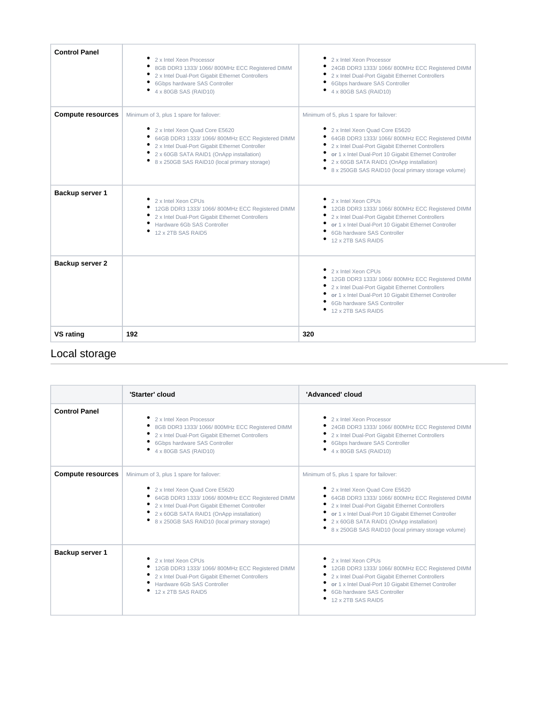| <b>Control Panel</b>     | 2 x Intel Xeon Processor<br>8GB DDR3 1333/ 1066/ 800MHz ECC Registered DIMM<br>2 x Intel Dual-Port Gigabit Ethernet Controllers<br>6Gbps hardware SAS Controller<br>4 x 80GB SAS (RAID10)                                                                                   | 2 x Intel Xeon Processor<br>24GB DDR3 1333/1066/800MHz ECC Registered DIMM<br>2 x Intel Dual-Port Gigabit Ethernet Controllers<br>6Gbps hardware SAS Controller<br>4 x 80GB SAS (RAID10)                                                                                                                                                     |
|--------------------------|-----------------------------------------------------------------------------------------------------------------------------------------------------------------------------------------------------------------------------------------------------------------------------|----------------------------------------------------------------------------------------------------------------------------------------------------------------------------------------------------------------------------------------------------------------------------------------------------------------------------------------------|
| <b>Compute resources</b> | Minimum of 3, plus 1 spare for failover:<br>2 x Intel Xeon Quad Core E5620<br>64GB DDR3 1333/1066/800MHz ECC Registered DIMM<br>2 x Intel Dual-Port Gigabit Ethernet Controller<br>2 x 60GB SATA RAID1 (OnApp installation)<br>8 x 250GB SAS RAID10 (local primary storage) | Minimum of 5, plus 1 spare for failover:<br>2 x Intel Xeon Quad Core E5620<br>64GB DDR3 1333/1066/800MHz ECC Registered DIMM<br>2 x Intel Dual-Port Gigabit Ethernet Controllers<br>or 1 x Intel Dual-Port 10 Gigabit Ethernet Controller<br>2 x 60GB SATA RAID1 (OnApp installation)<br>8 x 250GB SAS RAID10 (local primary storage volume) |
| Backup server 1          | 2 x Intel Xeon CPUs<br>12GB DDR3 1333/ 1066/ 800MHz ECC Registered DIMM<br>2 x Intel Dual-Port Gigabit Ethernet Controllers<br>Hardware 6Gb SAS Controller<br>12 x 2TB SAS RAID5                                                                                            | 2 x Intel Xeon CPUs<br>12GB DDR3 1333/1066/800MHz ECC Registered DIMM<br>2 x Intel Dual-Port Gigabit Ethernet Controllers<br>or 1 x Intel Dual-Port 10 Gigabit Ethernet Controller<br>6Gb hardware SAS Controller<br>12 x 2TB SAS RAID5                                                                                                      |
| Backup server 2          |                                                                                                                                                                                                                                                                             | 2 x Intel Xeon CPUs<br>12GB DDR3 1333/ 1066/ 800MHz ECC Registered DIMM<br>2 x Intel Dual-Port Gigabit Ethernet Controllers<br>or 1 x Intel Dual-Port 10 Gigabit Ethernet Controller<br>6Gb hardware SAS Controller<br>12 x 2TB SAS RAID5                                                                                                    |
| <b>VS rating</b>         | 192                                                                                                                                                                                                                                                                         | 320                                                                                                                                                                                                                                                                                                                                          |

## <span id="page-1-0"></span>Local storage

|                          | 'Starter' cloud                                                                                                                                                                                                                                                               | 'Advanced' cloud                                                                                                                                                                                                                                                                                                                               |
|--------------------------|-------------------------------------------------------------------------------------------------------------------------------------------------------------------------------------------------------------------------------------------------------------------------------|------------------------------------------------------------------------------------------------------------------------------------------------------------------------------------------------------------------------------------------------------------------------------------------------------------------------------------------------|
| <b>Control Panel</b>     | 2 x Intel Xeon Processor<br>8GB DDR3 1333/1066/800MHz ECC Registered DIMM<br>2 x Intel Dual-Port Gigabit Ethernet Controllers<br>6Gbps hardware SAS Controller<br>4 x 80GB SAS (RAID10)                                                                                       | 2 x Intel Xeon Processor<br>24GB DDR3 1333/ 1066/ 800MHz ECC Registered DIMM<br>2 x Intel Dual-Port Gigabit Ethernet Controllers<br>6Gbps hardware SAS Controller<br>4 x 80GB SAS (RAID10)                                                                                                                                                     |
| <b>Compute resources</b> | Minimum of 3, plus 1 spare for failover:<br>2 x Intel Xeon Quad Core E5620<br>64GB DDR3 1333/ 1066/ 800MHz ECC Registered DIMM<br>2 x Intel Dual-Port Gigabit Ethernet Controller<br>2 x 60GB SATA RAID1 (OnApp installation)<br>8 x 250GB SAS RAID10 (local primary storage) | Minimum of 5, plus 1 spare for failover:<br>2 x Intel Xeon Quad Core E5620<br>64GB DDR3 1333/ 1066/ 800MHz ECC Registered DIMM<br>2 x Intel Dual-Port Gigabit Ethernet Controllers<br>or 1 x Intel Dual-Port 10 Gigabit Ethernet Controller<br>2 x 60GB SATA RAID1 (OnApp installation)<br>8 x 250GB SAS RAID10 (local primary storage volume) |
| Backup server 1          | 2 x Intel Xeon CPUs<br>12GB DDR3 1333/ 1066/ 800MHz ECC Registered DIMM<br>2 x Intel Dual-Port Gigabit Ethernet Controllers<br>Hardware 6Gb SAS Controller<br>12 x 2TB SAS RAID5                                                                                              | 2 x Intel Xeon CPUs<br><sup>+</sup> 12GB DDR3 1333/ 1066/ 800MHz ECC Registered DIMM<br>2 x Intel Dual-Port Gigabit Ethernet Controllers<br>or 1 x Intel Dual-Port 10 Gigabit Ethernet Controller<br>6Gb hardware SAS Controller<br>12 x 2TB SAS RAID5                                                                                         |